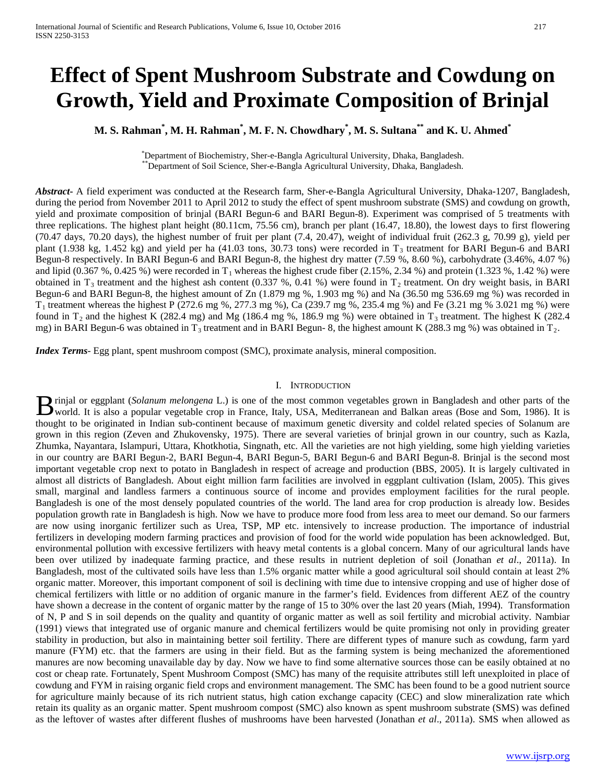# **Effect of Spent Mushroom Substrate and Cowdung on Growth, Yield and Proximate Composition of Brinjal**

**M. S. Rahman\* , M. H. Rahman\* , M. F. N. Chowdhary\* , M. S. Sultana\*\* and K. U. Ahmed\***

\*Department of Biochemistry, Sher-e-Bangla Agricultural University, Dhaka, Bangladesh. Department of Soil Science, Sher-e-Bangla Agricultural University, Dhaka, Bangladesh.

*Abstract***-** A field experiment was conducted at the Research farm, Sher-e-Bangla Agricultural University, Dhaka-1207, Bangladesh, during the period from November 2011 to April 2012 to study the effect of spent mushroom substrate (SMS) and cowdung on growth, yield and proximate composition of brinjal (BARI Begun-6 and BARI Begun-8). Experiment was comprised of 5 treatments with three replications. The highest plant height (80.11cm, 75.56 cm), branch per plant (16.47, 18.80), the lowest days to first flowering (70.47 days, 70.20 days), the highest number of fruit per plant (7.4, 20.47), weight of individual fruit (262.3 g, 70.99 g), yield per plant (1.938 kg, 1.452 kg) and yield per ha (41.03 tons, 30.73 tons) were recorded in  $T_3$  treatment for BARI Begun-6 and BARI Begun-8 respectively. In BARI Begun-6 and BARI Begun-8, the highest dry matter (7.59 %, 8.60 %), carbohydrate (3.46%, 4.07 %) and lipid  $(0.367 \%, 0.425 \%)$  were recorded in T<sub>1</sub> whereas the highest crude fiber  $(2.15 \%, 2.34 \%)$  and protein  $(1.323 \%, 1.42 \%)$  were obtained in  $T_3$  treatment and the highest ash content (0.337 %, 0.41 %) were found in  $T_2$  treatment. On dry weight basis, in BARI Begun-6 and BARI Begun-8, the highest amount of Zn (1.879 mg %, 1.903 mg %) and Na (36.50 mg 536.69 mg %) was recorded in  $T_1$  treatment whereas the highest P (272.6 mg %, 277.3 mg %), Ca (239.7 mg %, 235.4 mg %) and Fe (3.21 mg % 3.021 mg %) were found in  $T_2$  and the highest K (282.4 mg) and Mg (186.4 mg %, 186.9 mg %) were obtained in  $T_3$  treatment. The highest K (282.4 mg) in BARI Begun-6 was obtained in  $T_3$  treatment and in BARI Begun- 8, the highest amount K (288.3 mg %) was obtained in  $T_2$ .

*Index Terms*- Egg plant, spent mushroom compost (SMC), proximate analysis, mineral composition.

#### I. INTRODUCTION

rinjal or eggplant (*Solanum melongena* L.) is one of the most common vegetables grown in Bangladesh and other parts of the **B** rinjal or eggplant (Solanum melongena L.) is one of the most common vegetables grown in Bangladesh and other parts of the world. It is also a popular vegetable crop in France, Italy, USA, Mediterranean and Balkan areas thought to be originated in Indian sub-continent because of maximum genetic diversity and coldel related species of Solanum are grown in this region (Zeven and Zhukovensky, 1975). There are several varieties of brinjal grown in our country, such as Kazla, Zhumka, Nayantara, Islampuri, Uttara, Khotkhotia, Singnath, etc. All the varieties are not high yielding, some high yielding varieties in our country are BARI Begun-2, BARI Begun-4, BARI Begun-5, BARI Begun-6 and BARI Begun-8. Brinjal is the second most important vegetable crop next to potato in Bangladesh in respect of acreage and production (BBS, 2005). It is largely cultivated in almost all districts of Bangladesh. About eight million farm facilities are involved in eggplant cultivation (Islam, 2005). This gives small, marginal and landless farmers a continuous source of income and provides employment facilities for the rural people. Bangladesh is one of the most densely populated countries of the world. The land area for crop production is already low. Besides population growth rate in Bangladesh is high. Now we have to produce more food from less area to meet our demand. So our farmers are now using inorganic fertilizer such as Urea, TSP, MP etc. intensively to increase production. The importance of industrial fertilizers in developing modern farming practices and provision of food for the world wide population has been acknowledged. But, environmental pollution with excessive fertilizers with heavy metal contents is a global concern. Many of our agricultural lands have been over utilized by inadequate farming practice, and these results in nutrient depletion of soil (Jonathan *et al*., 2011a). In Bangladesh, most of the cultivated soils have less than 1.5% organic matter while a good agricultural soil should contain at least 2% organic matter. Moreover, this important component of soil is declining with time due to intensive cropping and use of higher dose of chemical fertilizers with little or no addition of organic manure in the farmer's field. Evidences from different AEZ of the country have shown a decrease in the content of organic matter by the range of 15 to 30% over the last 20 years (Miah, 1994). Transformation of N, P and S in soil depends on the quality and quantity of organic matter as well as soil fertility and microbial activity. Nambiar (1991) views that integrated use of organic manure and chemical fertilizers would be quite promising not only in providing greater stability in production, but also in maintaining better soil fertility. There are different types of manure such as cowdung, farm yard manure (FYM) etc. that the farmers are using in their field. But as the farming system is being mechanized the aforementioned manures are now becoming unavailable day by day. Now we have to find some alternative sources those can be easily obtained at no cost or cheap rate. Fortunately, Spent Mushroom Compost (SMC) has many of the requisite attributes still left unexploited in place of cowdung and FYM in raising organic field crops and environment management. The SMC has been found to be a good nutrient source for agriculture mainly because of its rich nutrient status, high cation exchange capacity (CEC) and slow mineralization rate which retain its quality as an organic matter. Spent mushroom compost (SMC) also known as spent mushroom substrate (SMS) was defined as the leftover of wastes after different flushes of mushrooms have been harvested (Jonathan *et al*., 2011a). SMS when allowed as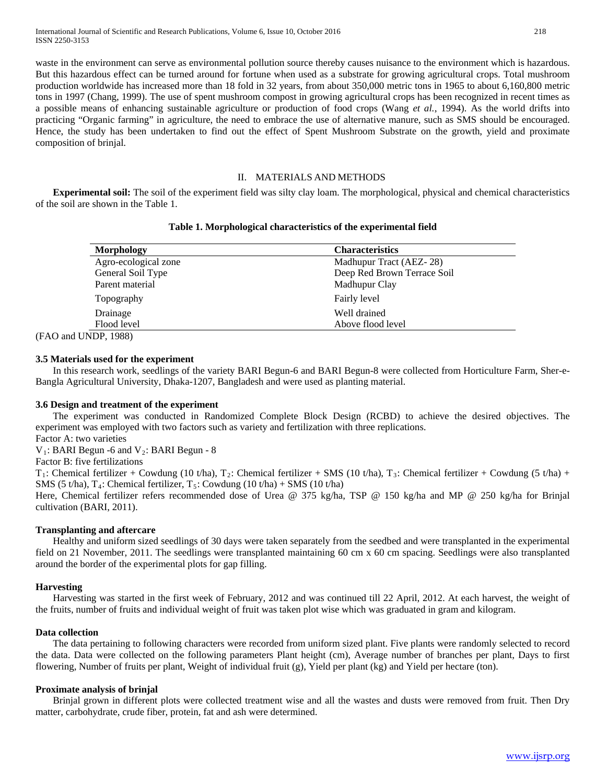waste in the environment can serve as environmental pollution source thereby causes nuisance to the environment which is hazardous. But this hazardous effect can be turned around for fortune when used as a substrate for growing agricultural crops. Total mushroom production worldwide has increased more than 18 fold in 32 years, from about 350,000 metric tons in 1965 to about 6,160,800 metric tons in 1997 (Chang, 1999). The use of spent mushroom compost in growing agricultural crops has been recognized in recent times as a possible means of enhancing sustainable agriculture or production of food crops (Wang *et al.*, 1994). As the world drifts into practicing "Organic farming" in agriculture, the need to embrace the use of alternative manure, such as SMS should be encouraged. Hence, the study has been undertaken to find out the effect of Spent Mushroom Substrate on the growth, yield and proximate composition of brinjal.

### II. MATERIALS AND METHODS

 **Experimental soil:** The soil of the experiment field was silty clay loam. The morphological, physical and chemical characteristics of the soil are shown in the Table 1.

### **Table 1. Morphological characteristics of the experimental field**

| Morphology           | <b>Characteristics</b>      |
|----------------------|-----------------------------|
| Agro-ecological zone | Madhupur Tract (AEZ-28)     |
| General Soil Type    | Deep Red Brown Terrace Soil |
| Parent material      | Madhupur Clay               |
| Topography           | Fairly level                |
| Drainage             | Well drained                |
| Flood level          | Above flood level           |

(FAO and UNDP, 1988)

## **3.5 Materials used for the experiment**

In this research work, seedlings of the variety BARI Begun-6 and BARI Begun-8 were collected from Horticulture Farm, Sher-e-Bangla Agricultural University, Dhaka-1207, Bangladesh and were used as planting material.

#### **3.6 Design and treatment of the experiment**

The experiment was conducted in Randomized Complete Block Design (RCBD) to achieve the desired objectives. The experiment was employed with two factors such as variety and fertilization with three replications.

Factor A: two varieties  $V_1$ : BARI Begun -6 and  $V_2$ : BARI Begun - 8

Factor B: five fertilizations

 $T_1$ : Chemical fertilizer + Cowdung (10 t/ha),  $T_2$ : Chemical fertilizer + SMS (10 t/ha),  $T_3$ : Chemical fertilizer + Cowdung (5 t/ha) + SMS (5 t/ha), T<sub>4</sub>: Chemical fertilizer, T<sub>5</sub>: Cowdung (10 t/ha) + SMS (10 t/ha)

Here, Chemical fertilizer refers recommended dose of Urea @ 375 kg/ha, TSP @ 150 kg/ha and MP @ 250 kg/ha for Brinjal cultivation (BARI, 2011).

## **Transplanting and aftercare**

Healthy and uniform sized seedlings of 30 days were taken separately from the seedbed and were transplanted in the experimental field on 21 November, 2011. The seedlings were transplanted maintaining 60 cm x 60 cm spacing. Seedlings were also transplanted around the border of the experimental plots for gap filling.

#### **Harvesting**

Harvesting was started in the first week of February, 2012 and was continued till 22 April, 2012. At each harvest, the weight of the fruits, number of fruits and individual weight of fruit was taken plot wise which was graduated in gram and kilogram.

## **Data collection**

The data pertaining to following characters were recorded from uniform sized plant. Five plants were randomly selected to record the data. Data were collected on the following parameters Plant height (cm), Average number of branches per plant, Days to first flowering, Number of fruits per plant, Weight of individual fruit (g), Yield per plant (kg) and Yield per hectare (ton).

## **Proximate analysis of brinjal**

Brinjal grown in different plots were collected treatment wise and all the wastes and dusts were removed from fruit. Then Dry matter, carbohydrate, crude fiber, protein, fat and ash were determined.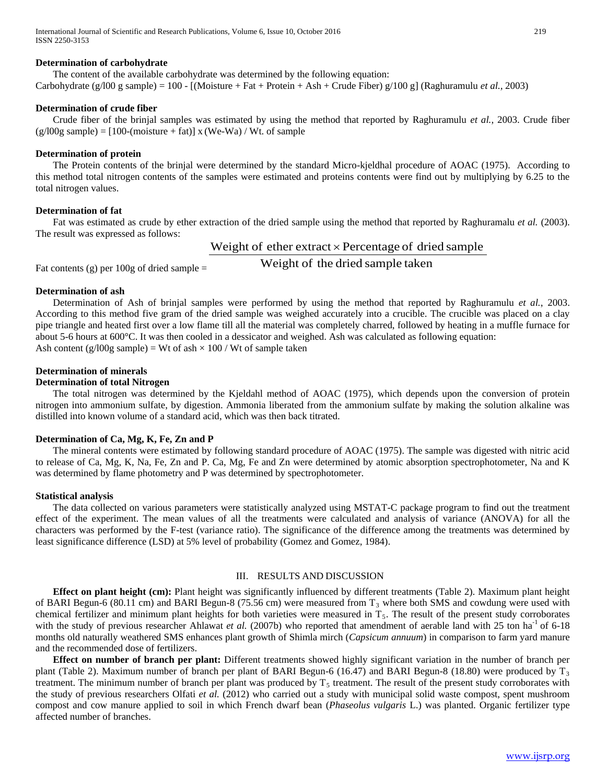## **Determination of carbohydrate**

The content of the available carbohydrate was determined by the following equation: Carbohydrate (g/l00 g sample) = 100 - [(Moisture + Fat + Protein + Ash + Crude Fiber) g/100 g] (Raghuramulu *et al.,* 2003)

#### **Determination of crude fiber**

Crude fiber of the brinjal samples was estimated by using the method that reported by Raghuramulu *et al.*, 2003. Crude fiber  $(g/100g \text{ sample}) = [100-(\text{moisture} + \text{fat})] x (We-Wa) / Wt.$  of sample

#### **Determination of protein**

The Protein contents of the brinjal were determined by the standard Micro-kjeldhal procedure of AOAC (1975). According to this method total nitrogen contents of the samples were estimated and proteins contents were find out by multiplying by 6.25 to the total nitrogen values.

#### **Determination of fat**

Fat was estimated as crude by ether extraction of the dried sample using the method that reported by Raghuramalu *et al.* (2003). The result was expressed as follows:

Weight of ether extract  $\times$  Percentage of dried sample

Fat contents (g) per 100g of dried sample  $=$  Weight of the dried sample taken

### **Determination of ash**

Determination of Ash of brinjal samples were performed by using the method that reported by Raghuramulu *et al.*, 2003. According to this method five gram of the dried sample was weighed accurately into a crucible. The crucible was placed on a clay pipe triangle and heated first over a low flame till all the material was completely charred, followed by heating in a muffle furnace for about 5-6 hours at 600°C. It was then cooled in a dessicator and weighed. Ash was calculated as following equation: Ash content (g/l00g sample) = Wt of ash  $\times$  100 / Wt of sample taken

## **Determination of minerals**

## **Determination of total Nitrogen**

The total nitrogen was determined by the Kjeldahl method of AOAC (1975), which depends upon the conversion of protein nitrogen into ammonium sulfate, by digestion. Ammonia liberated from the ammonium sulfate by making the solution alkaline was distilled into known volume of a standard acid, which was then back titrated.

## **Determination of Ca, Mg, K, Fe, Zn and P**

The mineral contents were estimated by following standard procedure of AOAC (1975). The sample was digested with nitric acid to release of Ca, Mg, K, Na, Fe, Zn and P. Ca, Mg, Fe and Zn were determined by atomic absorption spectrophotometer, Na and K was determined by flame photometry and P was determined by spectrophotometer.

#### **Statistical analysis**

The data collected on various parameters were statistically analyzed using MSTAT-C package program to find out the treatment effect of the experiment. The mean values of all the treatments were calculated and analysis of variance (ANOVA) for all the characters was performed by the F-test (variance ratio). The significance of the difference among the treatments was determined by least significance difference (LSD) at 5% level of probability (Gomez and Gomez, 1984).

## III. RESULTS AND DISCUSSION

 **Effect on plant height (cm):** Plant height was significantly influenced by different treatments (Table 2). Maximum plant height of BARI Begun-6 (80.11 cm) and BARI Begun-8 (75.56 cm) were measured from  $T_3$  where both SMS and cowdung were used with chemical fertilizer and minimum plant heights for both varieties were measured in  $T_5$ . The result of the present study corroborates with the study of previous researcher Ahlawat *et al.* (2007b) who reported that amendment of aerable land with 25 ton ha<sup>-1</sup> of 6-18 months old naturally weathered SMS enhances plant growth of Shimla mirch (*Capsicum annuum*) in comparison to farm yard manure and the recommended dose of fertilizers.

 **Effect on number of branch per plant:** Different treatments showed highly significant variation in the number of branch per plant (Table 2). Maximum number of branch per plant of BARI Begun-6 (16.47) and BARI Begun-8 (18.80) were produced by  $T_3$ treatment. The minimum number of branch per plant was produced by  $T<sub>5</sub>$  treatment. The result of the present study corroborates with the study of previous researchers Olfati *et al.* (2012) who carried out a study with municipal solid waste compost, spent mushroom compost and cow manure applied to soil in which French dwarf bean (*Phaseolus vulgaris* L.) was planted. Organic fertilizer type affected number of branches.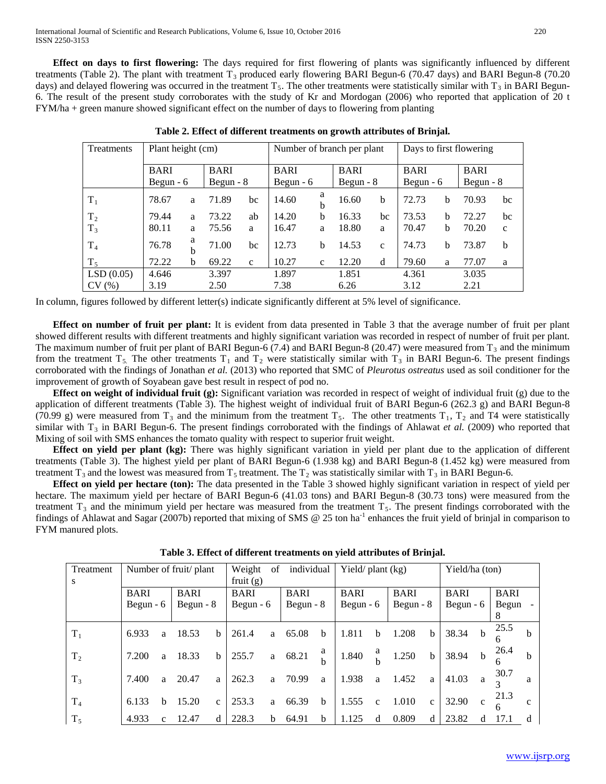**Effect on days to first flowering:** The days required for first flowering of plants was significantly influenced by different treatments (Table 2). The plant with treatment  $T_3$  produced early flowering BARI Begun-6 (70.47 days) and BARI Begun-8 (70.20 days) and delayed flowering was occurred in the treatment  $T_5$ . The other treatments were statistically similar with  $T_3$  in BARI Begun-6. The result of the present study corroborates with the study of Kr and Mordogan (2006) who reported that application of 20 t FYM/ha + green manure showed significant effect on the number of days to flowering from planting

| Treatments     | Plant height (cm) |        |             |              |                 |              | Number of branch per plant | Days to first flowering |       |             |            |              |
|----------------|-------------------|--------|-------------|--------------|-----------------|--------------|----------------------------|-------------------------|-------|-------------|------------|--------------|
|                | <b>BARI</b>       |        | <b>BARI</b> |              | <b>BARI</b>     |              |                            | <b>BARI</b>             |       | <b>BARI</b> |            |              |
|                | Begun $-6$        |        | Begun $-8$  |              | Begun $-6$      |              |                            | Begun $-8$              |       | Begun $-6$  | Begun $-8$ |              |
| $T_1$          | 78.67<br>a        |        | 71.89       | bc           | a<br>14.60<br>b |              | 16.60                      | b                       | 72.73 | b           | 70.93      | bc           |
| T <sub>2</sub> | 79.44             | a      | 73.22       | ab           | 14.20           | b            | 16.33                      | bc                      | 73.53 | b           | 72.27      | bc           |
| $T_3$          | 80.11             | a      | 75.56       | a            | 16.47           | a            | 18.80                      | a                       | 70.47 | b           | 70.20      | $\mathbf{C}$ |
| T <sub>4</sub> | 76.78             | a<br>b | 71.00       | bc           | 12.73           | b            | 14.53                      | $\mathbf{c}$            | 74.73 | b           | 73.87      | b            |
| $T_5$          | 72.22             | b      | 69.22       | $\mathbf{c}$ | 10.27           | $\mathbf{c}$ | 12.20                      | d                       | 79.60 | a           | 77.07      | a            |
| LSD(0.05)      | 4.646             |        | 3.397       |              | 1.897           |              | 1.851                      |                         | 4.361 |             | 3.035      |              |
| CV(%)          | 3.19              |        | 2.50        |              | 7.38            |              | 6.26                       |                         | 3.12  |             | 2.21       |              |

**Table 2. Effect of different treatments on growth attributes of Brinjal.**

In column, figures followed by different letter(s) indicate significantly different at 5% level of significance.

 **Effect on number of fruit per plant:** It is evident from data presented in Table 3 that the average number of fruit per plant showed different results with different treatments and highly significant variation was recorded in respect of number of fruit per plant. The maximum number of fruit per plant of BARI Begun-6 (7.4) and BARI Begun-8 (20.47) were measured from  $T_3$  and the minimum from the treatment  $T_5$ . The other treatments  $T_1$  and  $T_2$  were statistically similar with  $T_3$  in BARI Begun-6. The present findings corroborated with the findings of Jonathan *et al.* (2013) who reported that SMC of *Pleurotus ostreatus* used as soil conditioner for the improvement of growth of Soyabean gave best result in respect of pod no.

**Effect on weight of individual fruit (g):** Significant variation was recorded in respect of weight of individual fruit (g) due to the application of different treatments (Table 3). The highest weight of individual fruit of BARI Begun-6 (262.3 g) and BARI Begun-8 (70.99 g) were measured from  $T_3$  and the minimum from the treatment  $T_5$ . The other treatments  $T_1$ ,  $T_2$  and T4 were statistically similar with  $T_3$  in BARI Begun-6. The present findings corroborated with the findings of Ahlawat *et al.* (2009) who reported that Mixing of soil with SMS enhances the tomato quality with respect to superior fruit weight.

 **Effect on yield per plant (kg):** There was highly significant variation in yield per plant due to the application of different treatments (Table 3). The highest yield per plant of BARI Begun-6 (1.938 kg) and BARI Begun-8 (1.452 kg) were measured from treatment T<sub>3</sub> and the lowest was measured from T<sub>5</sub> treatment. The T<sub>2</sub> was statistically similar with T<sub>3</sub> in BARI Begun-6.

 **Effect on yield per hectare (ton):** The data presented in the Table 3 showed highly significant variation in respect of yield per hectare. The maximum yield per hectare of BARI Begun-6 (41.03 tons) and BARI Begun-8 (30.73 tons) were measured from the treatment  $T_3$  and the minimum yield per hectare was measured from the treatment  $T_5$ . The present findings corroborated with the findings of Ahlawat and Sagar (2007b) reported that mixing of SMS @ 25 ton ha<sup>-1</sup> enhances the fruit yield of brinjal in comparison to FYM manured plots.

| Treatment<br>S |                           | Number of fruit/ plant |                           |              |                           | individual<br>Weight<br>οf<br>fruit $(g)$ |                           |             |                           |                  | Yield/ plant (kg)<br>Yield/ha (ton) |              |                           |              |                      |              |
|----------------|---------------------------|------------------------|---------------------------|--------------|---------------------------|-------------------------------------------|---------------------------|-------------|---------------------------|------------------|-------------------------------------|--------------|---------------------------|--------------|----------------------|--------------|
|                | <b>BARI</b><br>Begun $-6$ |                        | <b>BARI</b><br>Begun $-8$ |              | <b>BARI</b><br>Begun $-6$ |                                           | <b>BARI</b><br>Begun $-8$ |             | <b>BARI</b><br>Begun $-6$ |                  | <b>BARI</b><br>Begun $-8$           |              | <b>BARI</b><br>Begun $-6$ |              | <b>BARI</b><br>Begun |              |
| $T_1$          | 6.933                     | a                      | 18.53                     | <sub>b</sub> | 261.4                     | a                                         | 65.08                     | $\mathbf b$ | 1.811                     | b                | 1.208                               | $\mathbf b$  | 38.34                     | $\mathbf b$  | 25.5                 | b            |
| T <sub>2</sub> | 7.200                     | a                      | 18.33                     | <sub>b</sub> | 255.7                     | a                                         | 68.21                     | a<br>h      | 1.840                     | a<br>$\mathbf b$ | 1.250                               | $\mathbf b$  | 38.94                     | $\mathbf b$  | 26.4                 | b            |
| $T_3$          | 7.400                     | a                      | 20.47                     | a            | 262.3                     | a                                         | 70.99                     | a           | 1.938                     | a                | 1.452                               | a            | 41.03                     | a            | 30.7                 | a            |
| T <sub>4</sub> | 6.133                     | b                      | 15.20                     | $\mathbf{c}$ | 253.3                     | a                                         | 66.39                     | $\mathbf b$ | 1.555                     | $\mathbf{c}$     | 1.010                               | $\mathbf{C}$ | 32.90                     | $\mathbf{c}$ | 21.3                 | $\mathbf{c}$ |
| $T_5$          | 4.933                     | c                      | 12.47                     | d            | 228.3                     | b                                         | 64.91                     | b           | 1.125                     | d                | 0.809                               | d            | 23.82                     | d            | 17.1                 | d            |

**Table 3. Effect of different treatments on yield attributes of Brinjal.**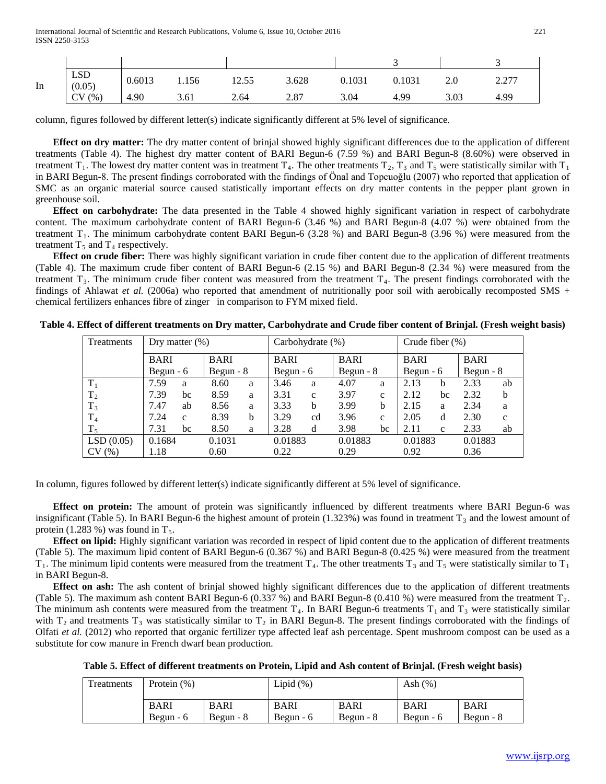| In | <b>LSD</b><br>(0.05) | 0.6013 | 1.156 | 12.55 | 3.628 | 0.1031 | 0.1031 | Z.U  | 2.27<br>$\overline{a}$ |
|----|----------------------|--------|-------|-------|-------|--------|--------|------|------------------------|
|    | CV(%)                | 4.90   | 3.61  | 2.64  | 2.87  | 3.04   | 4.99   | 3.03 | 4.99                   |

column, figures followed by different letter(s) indicate significantly different at 5% level of significance.

 **Effect on dry matter:** The dry matter content of brinjal showed highly significant differences due to the application of different treatments (Table 4). The highest dry matter content of BARI Begun-6 (7.59 %) and BARI Begun-8 (8.60%) were observed in treatment T<sub>1</sub>. The lowest dry matter content was in treatment T<sub>4</sub>. The other treatments T<sub>2</sub>, T<sub>3</sub> and T<sub>5</sub> were statistically similar with T<sub>1</sub> in BARI Begun-8. The present findings corroborated with the findings of Önal and Topcuoğlu (2007) who reported that application of SMC as an organic material source caused statistically important effects on dry matter contents in the pepper plant grown in greenhouse soil.

 **Effect on carbohydrate:** The data presented in the Table 4 showed highly significant variation in respect of carbohydrate content. The maximum carbohydrate content of BARI Begun-6 (3.46 %) and BARI Begun-8 (4.07 %) were obtained from the treatment  $T_1$ . The minimum carbohydrate content BARI Begun-6 (3.28 %) and BARI Begun-8 (3.96 %) were measured from the treatment  $T_5$  and  $T_4$  respectively.

 **Effect on crude fiber:** There was highly significant variation in crude fiber content due to the application of different treatments (Table 4). The maximum crude fiber content of BARI Begun-6 (2.15 %) and BARI Begun-8 (2.34 %) were measured from the treatment  $T_3$ . The minimum crude fiber content was measured from the treatment  $T_4$ . The present findings corroborated with the findings of Ahlawat *et al.* (2006a) who reported that amendment of nutritionally poor soil with aerobically recomposted SMS + chemical fertilizers enhances fibre of zinger in comparison to FYM mixed field.

| Treatments     | Dry matter $(\%)$ |              |             |   |         | Carbohydrate $(\%)$ |             |              | Crude fiber $(\%)$ |                      |         |              |  |
|----------------|-------------------|--------------|-------------|---|---------|---------------------|-------------|--------------|--------------------|----------------------|---------|--------------|--|
|                | <b>BARI</b>       |              | <b>BARI</b> |   |         |                     | <b>BARI</b> |              |                    | <b>BARI</b>          |         |              |  |
|                | Begun $-6$        |              | Begun $-8$  |   |         | Begun $-6$          |             | Begun $-8$   |                    | Begun $-6$           |         | Begun $-8$   |  |
| $T_1$          | 7.59              | a            | 8.60        | a | 3.46    | a                   | 4.07        | a            | 2.13               | b                    | 2.33    | ab           |  |
| T <sub>2</sub> | 7.39<br>bc        |              | 8.59        | a | 3.31    | $\mathbf{c}$        | 3.97        | $\mathbf{c}$ | 2.12               | bc                   | 2.32    | b            |  |
| $T_3$          | 7.47              | ab           | 8.56        | a | 3.33    | b                   | 3.99        | b            | 2.15               | a                    | 2.34    | a            |  |
| T <sub>4</sub> | 7.24              | $\mathbf{C}$ | 8.39        | b | 3.29    | cd                  | 3.96        | $\mathbf{c}$ | 2.05               | d                    | 2.30    | $\mathbf{C}$ |  |
| $T_5$          | 7.31<br>bc        |              | 8.50        | a |         | d                   | 3.98        | bc           |                    | 2.11<br>$\mathbf{C}$ |         | ab           |  |
| LSD(0.05)      | 0.1684            |              | 0.1031      |   | 0.01883 |                     | 0.01883     |              | 0.01883            |                      | 0.01883 |              |  |
| CV(%)          | 1.18              |              | 0.60        |   | 0.22    |                     |             | 0.29         |                    | 0.92                 |         |              |  |

**Table 4. Effect of different treatments on Dry matter, Carbohydrate and Crude fiber content of Brinjal. (Fresh weight basis)**

In column, figures followed by different letter(s) indicate significantly different at 5% level of significance.

 **Effect on protein:** The amount of protein was significantly influenced by different treatments where BARI Begun-6 was insignificant (Table 5). In BARI Begun-6 the highest amount of protein  $(1.323%)$  was found in treatment  $T_3$  and the lowest amount of protein (1.283 %) was found in  $T_5$ .

 **Effect on lipid:** Highly significant variation was recorded in respect of lipid content due to the application of different treatments (Table 5). The maximum lipid content of BARI Begun-6 (0.367 %) and BARI Begun-8 (0.425 %) were measured from the treatment  $T_1$ . The minimum lipid contents were measured from the treatment  $T_4$ . The other treatments  $T_3$  and  $T_5$  were statistically similar to  $T_1$ in BARI Begun-8.

 **Effect on ash:** The ash content of brinjal showed highly significant differences due to the application of different treatments (Table 5). The maximum ash content BARI Begun-6 (0.337 %) and BARI Begun-8 (0.410 %) were measured from the treatment  $T_2$ . The minimum ash contents were measured from the treatment  $T_4$ . In BARI Begun-6 treatments  $T_1$  and  $T_3$  were statistically similar with  $T_2$  and treatments  $T_3$  was statistically similar to  $T_2$  in BARI Begun-8. The present findings corroborated with the findings of Olfati *et al.* (2012) who reported that organic fertilizer type affected leaf ash percentage. Spent mushroom compost can be used as a substitute for cow manure in French dwarf bean production.

**Table 5. Effect of different treatments on Protein, Lipid and Ash content of Brinjal. (Fresh weight basis)**

| Treatments | Protein $(\%)$ |                | Lipid $(\%)$ |             | Ash $(\%)$  |             |  |  |
|------------|----------------|----------------|--------------|-------------|-------------|-------------|--|--|
|            | <b>BARI</b>    | <b>BARI</b>    | <b>BARI</b>  | <b>BARI</b> | <b>BARI</b> | <b>BARI</b> |  |  |
|            | Begun $-6$     | $Be$ gun - $8$ | Begun $-6$   | Begun $-8$  | Begun $-6$  | Begun - 8   |  |  |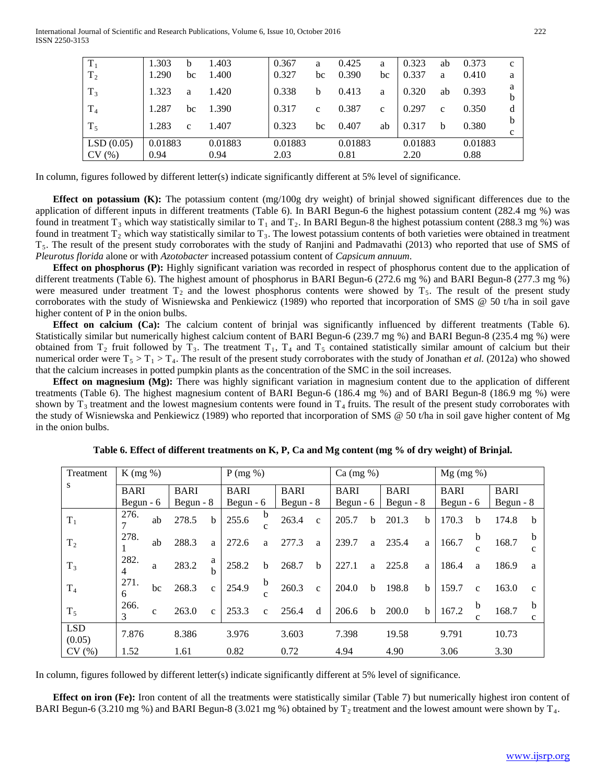| $T_1$<br>$T_2$     | 1.303<br>1.290  | b<br>bc      | 1.403<br>1.400  | 0.367<br>0.327  | a<br>bc | 0.425<br>0.390  | a<br>bc      | 0.323<br>0.337  | ab<br>a      | 0.373<br>0.410  | C<br>a |
|--------------------|-----------------|--------------|-----------------|-----------------|---------|-----------------|--------------|-----------------|--------------|-----------------|--------|
| $T_3$              | 1.323           | a            | 1.420           | 0.338           | b       | 0.413           | a            | 0.320           | ab           | 0.393           | a<br>b |
| $\rm T_4$          | 1.287           | bc           | 1.390           | 0.317           | C       | 0.387           | $\mathbf{c}$ | 0.297           | $\mathbf{C}$ | 0.350           | d      |
| $T_5$              | 1.283           | $\mathbf{C}$ | 1.407           | 0.323           | bc      | 0.407           | ab           | 0.317           | b            | 0.380           | b<br>c |
| LSD(0.05)<br>CV(%) | 0.01883<br>0.94 |              | 0.01883<br>0.94 | 0.01883<br>2.03 |         | 0.01883<br>0.81 |              | 0.01883<br>2.20 |              | 0.01883<br>0.88 |        |

In column, figures followed by different letter(s) indicate significantly different at 5% level of significance.

**Effect on potassium (K):** The potassium content (mg/100g dry weight) of brinjal showed significant differences due to the application of different inputs in different treatments (Table 6). In BARI Begun-6 the highest potassium content (282.4 mg %) was found in treatment T<sub>3</sub> which way statistically similar to T<sub>1</sub> and T<sub>2</sub>. In BARI Begun-8 the highest potassium content (288.3 mg %) was found in treatment  $T_2$  which way statistically similar to  $T_3$ . The lowest potassium contents of both varieties were obtained in treatment  $T<sub>5</sub>$ . The result of the present study corroborates with the study of Ranjini and Padmavathi (2013) who reported that use of SMS of *Pleurotus florida* alone or with *Azotobacter* increased potassium content of *Capsicum annuum*.

**Effect on phosphorus (P):** Highly significant variation was recorded in respect of phosphorus content due to the application of different treatments (Table 6). The highest amount of phosphorus in BARI Begun-6 (272.6 mg %) and BARI Begun-8 (277.3 mg %) were measured under treatment  $T_2$  and the lowest phosphorus contents were showed by  $T_5$ . The result of the present study corroborates with the study of Wisniewska and Penkiewicz (1989) who reported that incorporation of SMS @ 50 t/ha in soil gave higher content of P in the onion bulbs.

 **Effect on calcium (Ca):** The calcium content of brinjal was significantly influenced by different treatments (Table 6). Statistically similar but numerically highest calcium content of BARI Begun-6 (239.7 mg %) and BARI Begun-8 (235.4 mg %) were obtained from  $T_2$  fruit followed by  $T_3$ . The treatment  $T_1$ ,  $T_4$  and  $T_5$  contained statistically similar amount of calcium but their numerical order were  $T_5 > T_1 > T_4$ . The result of the present study corroborates with the study of Jonathan *et al.* (2012a) who showed that the calcium increases in potted pumpkin plants as the concentration of the SMC in the soil increases.

 **Effect on magnesium (Mg):** There was highly significant variation in magnesium content due to the application of different treatments (Table 6). The highest magnesium content of BARI Begun-6 (186.4 mg %) and of BARI Begun-8 (186.9 mg %) were shown by  $T_3$  treatment and the lowest magnesium contents were found in  $T_4$  fruits. The result of the present study corroborates with the study of Wisniewska and Penkiewicz (1989) who reported that incorporation of SMS @ 50 t/ha in soil gave higher content of Mg in the onion bulbs.

| Treatment            | $K$ (mg %)  |              |             |              | P(mg %)     |                             |       |              | $Ca \left( \frac{mg}{\pi} \right)$ |            |             |             | $Mg$ (mg %) |                   |             |              |
|----------------------|-------------|--------------|-------------|--------------|-------------|-----------------------------|-------|--------------|------------------------------------|------------|-------------|-------------|-------------|-------------------|-------------|--------------|
| S                    | <b>BARI</b> |              | <b>BARI</b> |              | <b>BARI</b> |                             |       | <b>BARI</b>  |                                    |            | <b>BARI</b> |             | <b>BARI</b> |                   | <b>BARI</b> |              |
|                      | Begun $-6$  |              | Begun $-8$  |              | Begun $-6$  |                             |       | Begun $-8$   |                                    | Begun $-6$ |             | Begun $-8$  | Begun $-6$  |                   | Begun $-8$  |              |
| $T_1$                | 276.        | ab           | 278.5       | b            | 255.6       | b<br>$\mathbf{C}$           | 263.4 | $\mathbf{c}$ | 205.7                              | b          | 201.3       | b           | 170.3       | $\mathbf b$       | 174.8       | <sub>b</sub> |
| T <sub>2</sub>       | 278.        | ab           | 288.3       | a            | 272.6       | a                           | 277.3 | a            | 239.7                              | a          | 235.4       | a           | 166.7       | b<br>$\mathbf{C}$ | 168.7       | b<br>c       |
| $T_3$                | 282.<br>4   | a            | 283.2       | a<br>h       | 258.2       | b                           | 268.7 | b            | 227.1                              | a          | 225.8       | a           | 186.4       | a                 | 186.9       | a            |
| T <sub>4</sub>       | 271.<br>6   | bc           | 268.3       | $\mathbf{c}$ | 254.9       | $\mathbf b$<br>$\mathbf{C}$ | 260.3 | $\mathbf{c}$ | 204.0                              | b          | 198.8       | $\mathbf b$ | 159.7       | $\mathbf{c}$      | 163.0       | $\mathbf{c}$ |
| $T_5$                | 266.<br>3   | $\mathbf{C}$ | 263.0       | $\mathbf{c}$ | 253.3       | $\mathbf{C}$                | 256.4 | d            | 206.6                              | b          | 200.0       | $\mathbf b$ | 167.2       | b<br>c            | 168.7       | h<br>c       |
| <b>LSD</b><br>(0.05) | 7.876       |              | 8.386       |              | 3.976       |                             | 3.603 |              | 7.398                              |            | 19.58       |             | 9.791       |                   | 10.73       |              |
| CV(%)                | 1.52        |              | 1.61        |              | 0.82        |                             | 0.72  |              | 4.94                               |            | 4.90        |             | 3.06        |                   | 3.30        |              |

**Table 6. Effect of different treatments on K, P, Ca and Mg content (mg % of dry weight) of Brinjal.**

In column, figures followed by different letter(s) indicate significantly different at 5% level of significance.

**Effect on iron (Fe):** Iron content of all the treatments were statistically similar (Table 7) but numerically highest iron content of BARI Begun-6 (3.210 mg %) and BARI Begun-8 (3.021 mg %) obtained by  $T_2$  treatment and the lowest amount were shown by  $T_4$ .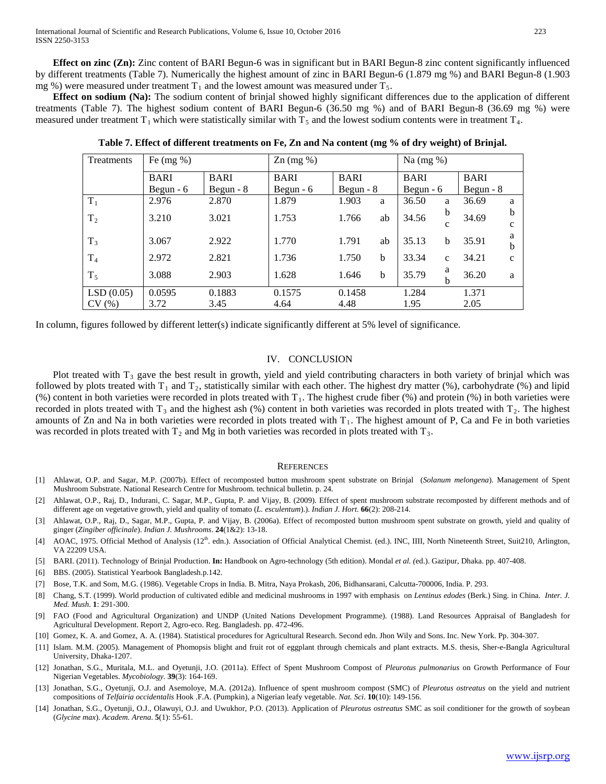**Effect on zinc (Zn):** Zinc content of BARI Begun-6 was in significant but in BARI Begun-8 zinc content significantly influenced by different treatments (Table 7). Numerically the highest amount of zinc in BARI Begun-6 (1.879 mg %) and BARI Begun-8 (1.903 mg %) were measured under treatment  $T_1$  and the lowest amount was measured under  $T_5$ .

 **Effect on sodium (Na):** The sodium content of brinjal showed highly significant differences due to the application of different treatments (Table 7). The highest sodium content of BARI Begun-6 (36.50 mg %) and of BARI Begun-8 (36.69 mg %) were measured under treatment  $T_1$  which were statistically similar with  $T_5$  and the lowest sodium contents were in treatment  $T_4$ .

| Treatments     | Fe $(mg \%)$ |             | $\text{Zn}$ (mg %)         |            | Na $(mg \%)$ |             |              |             |    |
|----------------|--------------|-------------|----------------------------|------------|--------------|-------------|--------------|-------------|----|
|                | <b>BARI</b>  | <b>BARI</b> | <b>BARI</b><br><b>BARI</b> |            |              | <b>BARI</b> |              | <b>BARI</b> |    |
|                | Begun $-6$   | Begun $-8$  | Begun $-6$                 | Begun $-8$ |              | Begun $-6$  |              | Begun $-8$  |    |
| $T_1$          | 2.976        | 2.870       | 1.879                      | 1.903      | a            | 36.50       | a            | 36.69       | a  |
| T <sub>2</sub> | 3.210        | 3.021       | 1.753                      | 1.766      | ab           | 34.56       | b            | 34.69       | h  |
|                |              |             |                            |            |              |             | с            |             | C  |
| $T_3$          | 3.067        | 2.922       | 1.770                      | 1.791      | ab           | 35.13       | b            | 35.91       | а  |
|                |              |             |                            |            |              |             |              |             | h  |
| T <sub>4</sub> | 2.972        | 2.821       | 1.736                      | 1.750      | b            | 33.34       | $\mathbf{C}$ | 34.21       | Ċ. |
| $T_5$          | 3.088        | 2.903       | 1.628                      | 1.646      | b            | 35.79       | a            | 36.20       | a  |
|                |              |             |                            |            |              |             | b            |             |    |
| LSD(0.05)      | 0.0595       | 0.1883      | 0.1575                     | 0.1458     |              | 1.284       |              | 1.371       |    |
| CV(%)          | 3.72         | 3.45        | 4.64                       | 4.48       |              | 1.95        |              | 2.05        |    |

**Table 7. Effect of different treatments on Fe, Zn and Na content (mg % of dry weight) of Brinjal.**

In column, figures followed by different letter(s) indicate significantly different at 5% level of significance.

## IV. CONCLUSION

Plot treated with  $T_3$  gave the best result in growth, yield and yield contributing characters in both variety of brinjal which was followed by plots treated with  $T_1$  and  $T_2$ , statistically similar with each other. The highest dry matter (%), carbohydrate (%) and lipid (%) content in both varieties were recorded in plots treated with  $T_1$ . The highest crude fiber (%) and protein (%) in both varieties were recorded in plots treated with  $T_3$  and the highest ash (%) content in both varieties was recorded in plots treated with  $T_2$ . The highest amounts of Zn and Na in both varieties were recorded in plots treated with  $T_1$ . The highest amount of P, Ca and Fe in both varieties was recorded in plots treated with  $T_2$  and Mg in both varieties was recorded in plots treated with  $T_3$ .

#### **REFERENCES**

- [1] Ahlawat, O.P. and Sagar, M.P. (2007b). Effect of recomposted button mushroom spent substrate on Brinjal (*Solanum melongena*). Management of Spent Mushroom Substrate. National Research Centre for Mushroom. technical bulletin. p. 24.
- [2] Ahlawat, O.P., Raj, D., Indurani, C. Sagar, M.P., Gupta, P. and Vijay, B. (2009). Effect of spent mushroom substrate recomposted by different methods and of different age on vegetative growth, yield and quality of tomato (*L. esculentum*).). *Indian J. Hort.* **66**(2): 208-214.
- [3] Ahlawat, O.P., Raj, D., Sagar, M.P., Gupta, P. and Vijay, B. (2006a). Effect of recomposted button mushroom spent substrate on growth, yield and quality of ginger (*Zingiber officinale*). *Indian J. Mushrooms*. **24**(1&2): 13-18.
- [4] AOAC, 1975. Official Method of Analysis (12<sup>th</sup>. edn.). Association of Official Analytical Chemist. (ed.). INC, IIII, North Nineteenth Street, Suit210, Arlington, VA 22209 USA.
- [5] BARI. (2011). Technology of Brinjal Production. **In:** Handbook on Agro-technology (5th edition). Mondal *et al. (*ed.). Gazipur, Dhaka. pp. 407-408.
- [6] BBS. (2005). Statistical Yearbook Bangladesh.p.142.
- [7] Bose, T.K. and Som, M.G. (1986). Vegetable Crops in India. B. Mitra, Naya Prokash, 206, Bidhansarani, Calcutta-700006, India. P. 293.
- [8] Chang, S.T. (1999). World production of cultivated edible and medicinal mushrooms in 1997 with emphasis on *Lentinus edodes* (Berk.) Sing. in China. *Inter. J. Med. Mush*. **1**: 291-300.
- [9] FAO (Food and Agricultural Organization) and UNDP (United Nations Development Programme). (1988). Land Resources Appraisal of Bangladesh for Agricultural Development. Report 2, Agro-eco. Reg. Bangladesh. pp. 472-496.
- [10] Gomez, K. A. and Gomez, A. A. (1984). Statistical procedures for Agricultural Research. Second edn. Jhon Wily and Sons. Inc. New York. Pp. 304-307.
- [11] Islam. M.M. (2005). Management of Phomopsis blight and fruit rot of eggplant through chemicals and plant extracts. M.S. thesis, Sher-e-Bangla Agricultural University, Dhaka-1207.
- [12] Jonathan, S.G., Muritala, M.L. and Oyetunji, J.O. (2011a). Effect of Spent Mushroom Compost of *Pleurotus pulmonarius* on Growth Performance of Four Nigerian Vegetables. *Mycobiology.* **39**(3): 164-169.
- [13] Jonathan, S.G., Oyetunji, O.J. and Asemoloye, M.A. (2012a). Influence of spent mushroom compost (SMC) of *Pleurotus ostreatus* on the yield and nutrient compositions of *Telfairia occidentalis* Hook .F.A. (Pumpkin), a Nigerian leafy vegetable. *Nat. Sci*. **10**(10): 149-156.
- [14] Jonathan, S.G., Oyetunji, O.J., Olawuyi, O.J. and Uwukhor, P.O. (2013). Application of *Pleurotus ostreatus* SMC as soil conditioner for the growth of soybean (*Glycine max*). *Academ. Arena*. **5**(1): 55-61.